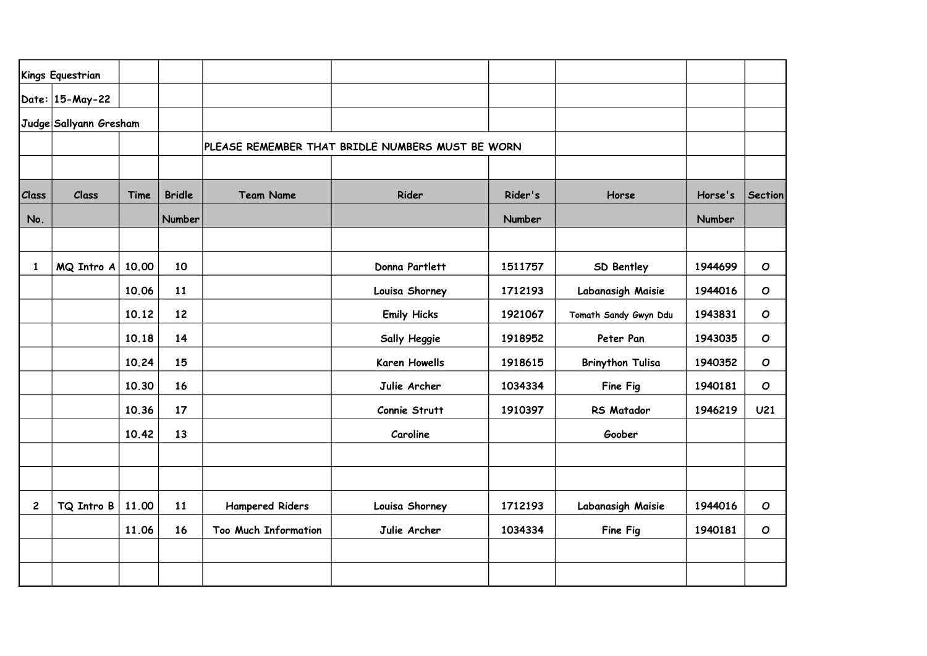|              | Kings Equestrian       |       |                                                  |                             |                      |         |                         |               |                 |
|--------------|------------------------|-------|--------------------------------------------------|-----------------------------|----------------------|---------|-------------------------|---------------|-----------------|
|              | Date: 15-May-22        |       |                                                  |                             |                      |         |                         |               |                 |
|              | Judge Sallyann Gresham |       |                                                  |                             |                      |         |                         |               |                 |
|              |                        |       | PLEASE REMEMBER THAT BRIDLE NUMBERS MUST BE WORN |                             |                      |         |                         |               |                 |
|              |                        |       |                                                  |                             |                      |         |                         |               |                 |
| Class        | Class                  | Time  | <b>Bridle</b>                                    | <b>Team Name</b>            | Rider                | Rider's | Horse                   | Horse's       | <b>Section</b>  |
| No.          |                        |       | Number                                           |                             |                      | Number  |                         | <b>Number</b> |                 |
|              |                        |       |                                                  |                             |                      |         |                         |               |                 |
| 1            | MQ Intro A             | 10.00 | 10                                               |                             | Donna Partlett       | 1511757 | <b>SD Bentley</b>       | 1944699       | $\mathbf O$     |
|              |                        | 10.06 | 11                                               |                             | Louisa Shorney       | 1712193 | Labanasigh Maisie       | 1944016       | $\mathbf o$     |
|              |                        | 10.12 | 12                                               |                             | <b>Emily Hicks</b>   | 1921067 | Tomath Sandy Gwyn Ddu   | 1943831       | $\mathbf O$     |
|              |                        | 10.18 | 14                                               |                             | Sally Heggie         | 1918952 | Peter Pan               | 1943035       | $\mathbf o$     |
|              |                        | 10.24 | 15                                               |                             | <b>Karen Howells</b> | 1918615 | <b>Brinython Tulisa</b> | 1940352       | $\mathbf o$     |
|              |                        | 10.30 | 16                                               |                             | Julie Archer         | 1034334 | Fine Fig                | 1940181       | $\mathbf{o}$    |
|              |                        | 10.36 | 17                                               |                             | Connie Strutt        | 1910397 | <b>RS Matador</b>       | 1946219       | U <sub>21</sub> |
|              |                        | 10.42 | 13                                               |                             | Caroline             |         | Goober                  |               |                 |
|              |                        |       |                                                  |                             |                      |         |                         |               |                 |
|              |                        |       |                                                  |                             |                      |         |                         |               |                 |
| $\mathbf{2}$ | TQ Intro B             | 11.00 | 11                                               | <b>Hampered Riders</b>      | Louisa Shorney       | 1712193 | Labanasigh Maisie       | 1944016       | $\mathbf{o}$    |
|              |                        | 11.06 | 16                                               | <b>Too Much Information</b> | Julie Archer         | 1034334 | Fine Fig                | 1940181       | $\mathbf o$     |
|              |                        |       |                                                  |                             |                      |         |                         |               |                 |
|              |                        |       |                                                  |                             |                      |         |                         |               |                 |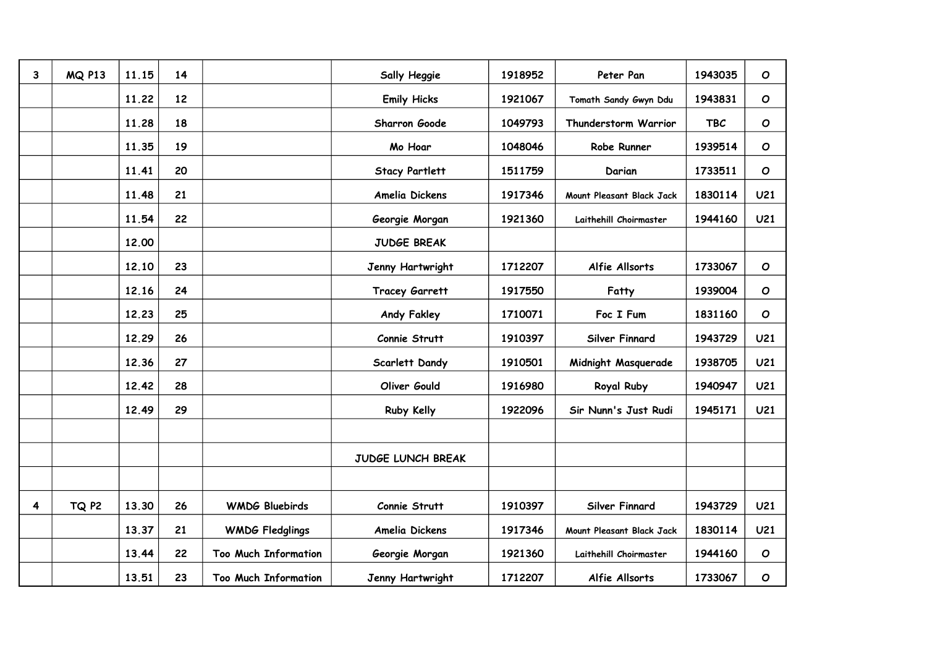| 3 | <b>MQ P13</b> | 11.15 | 14 |                             | Sally Heggie          | 1918952 | Peter Pan                 | 1943035    | $\mathbf O$     |
|---|---------------|-------|----|-----------------------------|-----------------------|---------|---------------------------|------------|-----------------|
|   |               | 11.22 | 12 |                             | <b>Emily Hicks</b>    | 1921067 | Tomath Sandy Gwyn Ddu     | 1943831    | $\mathbf O$     |
|   |               | 11.28 | 18 |                             | Sharron Goode         | 1049793 | Thunderstorm Warrior      | <b>TBC</b> | $\mathbf O$     |
|   |               | 11.35 | 19 |                             | Mo Hoar               | 1048046 | Robe Runner               | 1939514    | $\mathbf O$     |
|   |               | 11.41 | 20 |                             | <b>Stacy Partlett</b> | 1511759 | Darian                    | 1733511    | $\mathbf O$     |
|   |               | 11.48 | 21 |                             | Amelia Dickens        | 1917346 | Mount Pleasant Black Jack | 1830114    | U <sub>21</sub> |
|   |               | 11.54 | 22 |                             | Georgie Morgan        | 1921360 | Laithehill Choirmaster    | 1944160    | U <sub>21</sub> |
|   |               | 12,00 |    |                             | <b>JUDGE BREAK</b>    |         |                           |            |                 |
|   |               | 12.10 | 23 |                             | Jenny Hartwright      | 1712207 | Alfie Allsorts            | 1733067    | $\mathbf O$     |
|   |               | 12.16 | 24 |                             | <b>Tracey Garrett</b> | 1917550 | Fatty                     | 1939004    | $\mathbf O$     |
|   |               | 12.23 | 25 |                             | Andy Fakley           | 1710071 | Foc I Fum                 | 1831160    | $\mathbf O$     |
|   |               | 12.29 | 26 |                             | Connie Strutt         | 1910397 | Silver Finnard            | 1943729    | U <sub>21</sub> |
|   |               | 12.36 | 27 |                             | Scarlett Dandy        | 1910501 | Midnight Masquerade       | 1938705    | U <sub>21</sub> |
|   |               | 12.42 | 28 |                             | Oliver Gould          | 1916980 | <b>Royal Ruby</b>         | 1940947    | U <sub>21</sub> |
|   |               | 12.49 | 29 |                             | Ruby Kelly            | 1922096 | Sir Nunn's Just Rudi      | 1945171    | U <sub>21</sub> |
|   |               |       |    |                             |                       |         |                           |            |                 |
|   |               |       |    |                             | JUDGE LUNCH BREAK     |         |                           |            |                 |
|   |               |       |    |                             |                       |         |                           |            |                 |
| 4 | TQ P2         | 13.30 | 26 | <b>WMDG Bluebirds</b>       | Connie Strutt         | 1910397 | Silver Finnard            | 1943729    | U <sub>21</sub> |
|   |               | 13.37 | 21 | <b>WMDG Fledglings</b>      | Amelia Dickens        | 1917346 | Mount Pleasant Black Jack | 1830114    | U <sub>21</sub> |
|   |               | 13.44 | 22 | <b>Too Much Information</b> | Georgie Morgan        | 1921360 | Laithehill Choirmaster    | 1944160    | $\mathbf O$     |
|   |               | 13.51 | 23 | <b>Too Much Information</b> | Jenny Hartwright      | 1712207 | Alfie Allsorts            | 1733067    | $\mathbf{o}$    |